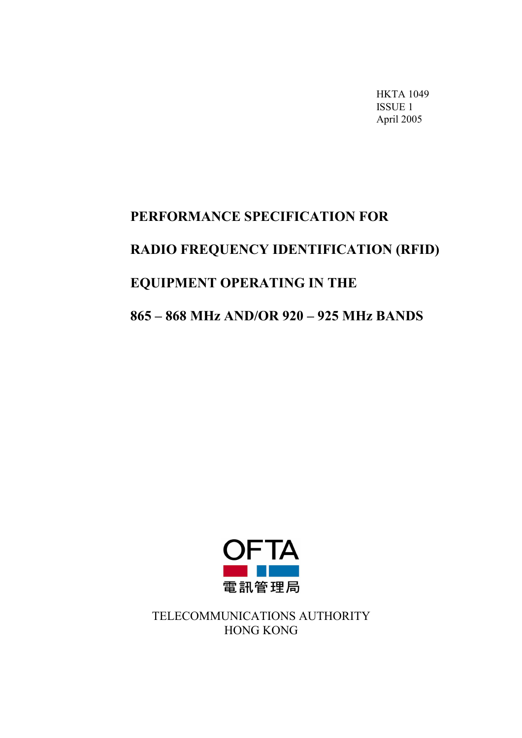HKTA 1049 ISSUE 1 April 2005

# PERFORMANCE SPECIFICATION FOR RADIO FREQUENCY IDENTIFICATION (RFID) EQUIPMENT OPERATING IN THE 865 – 868 MHz AND/OR 920 – 925 MHz BANDS



TELECOMMUNICATIONS AUTHORITY HONG KONG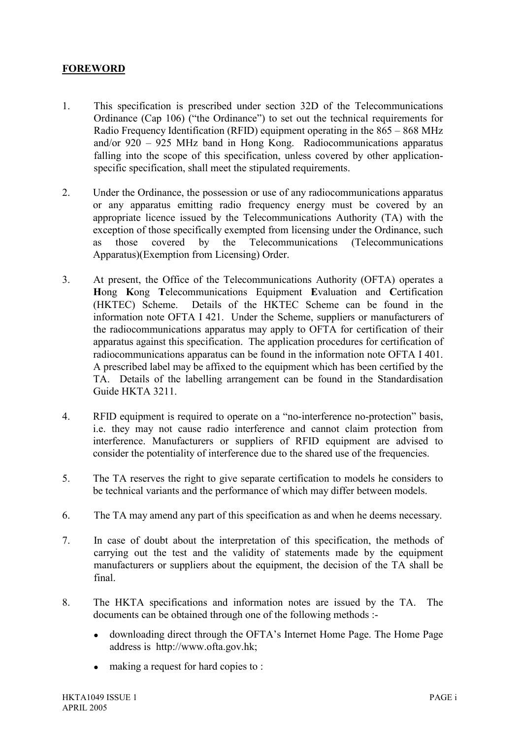## FOREWORD

- 1. This specification is prescribed under section 32D of the Telecommunications Ordinance (Cap 106) ("the Ordinance") to set out the technical requirements for Radio Frequency Identification (RFID) equipment operating in the 865 – 868 MHz and/or 920 – 925 MHz band in Hong Kong. Radiocommunications apparatus falling into the scope of this specification, unless covered by other applicationspecific specification, shall meet the stipulated requirements.
- 2. Under the Ordinance, the possession or use of any radiocommunications apparatus or any apparatus emitting radio frequency energy must be covered by an appropriate licence issued by the Telecommunications Authority (TA) with the exception of those specifically exempted from licensing under the Ordinance, such as those covered by the Telecommunications (Telecommunications Apparatus)(Exemption from Licensing) Order.
- 3. At present, the Office of the Telecommunications Authority (OFTA) operates a Hong Kong Telecommunications Equipment Evaluation and Certification (HKTEC) Scheme. Details of the HKTEC Scheme can be found in the information note OFTA I 421. Under the Scheme, suppliers or manufacturers of the radiocommunications apparatus may apply to OFTA for certification of their apparatus against this specification. The application procedures for certification of radiocommunications apparatus can be found in the information note OFTA I 401. A prescribed label may be affixed to the equipment which has been certified by the TA. Details of the labelling arrangement can be found in the Standardisation Guide HKTA 3211.
- 4. RFID equipment is required to operate on a "no-interference no-protection" basis, i.e. they may not cause radio interference and cannot claim protection from interference. Manufacturers or suppliers of RFID equipment are advised to consider the potentiality of interference due to the shared use of the frequencies.
- 5. The TA reserves the right to give separate certification to models he considers to be technical variants and the performance of which may differ between models.
- 6. The TA may amend any part of this specification as and when he deems necessary.
- 7. In case of doubt about the interpretation of this specification, the methods of carrying out the test and the validity of statements made by the equipment manufacturers or suppliers about the equipment, the decision of the TA shall be final.
- 8. The HKTA specifications and information notes are issued by the TA. The documents can be obtained through one of the following methods :
	- downloading direct through the OFTA's Internet Home Page. The Home Page address is http://www.ofta.gov.hk;
	- making a request for hard copies to :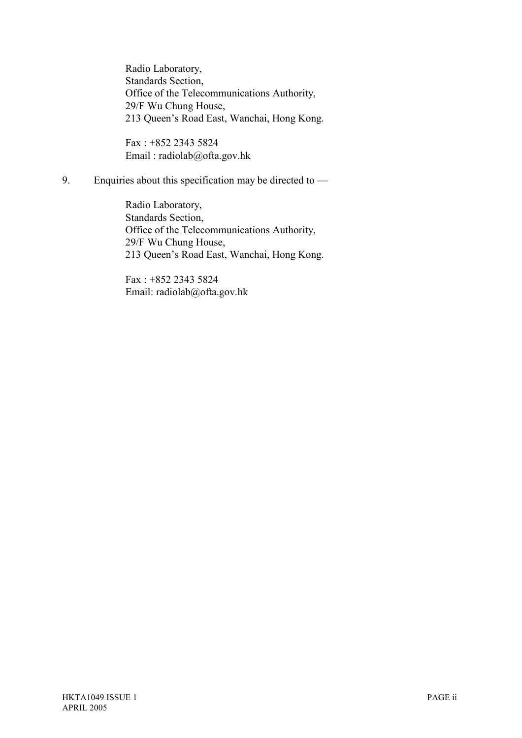Radio Laboratory, Standards Section, Office of the Telecommunications Authority, 29/F Wu Chung House, 213 Queen's Road East, Wanchai, Hong Kong.

Fax : +852 2343 5824 Email : radiolab@ofta.gov.hk

9. Enquiries about this specification may be directed to —

Radio Laboratory, Standards Section, Office of the Telecommunications Authority, 29/F Wu Chung House, 213 Queen's Road East, Wanchai, Hong Kong.

Fax : +852 2343 5824 Email: radiolab@ofta.gov.hk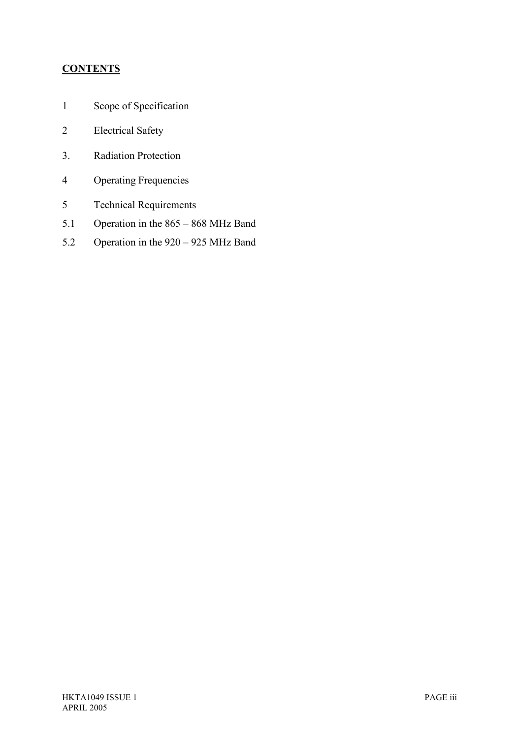# **CONTENTS**

- 1 Scope of Specification
- 2 Electrical Safety
- 3. Radiation Protection
- 4 Operating Frequencies
- 5 Technical Requirements
- 5.1 Operation in the 865 868 MHz Band
- 5.2 Operation in the 920 925 MHz Band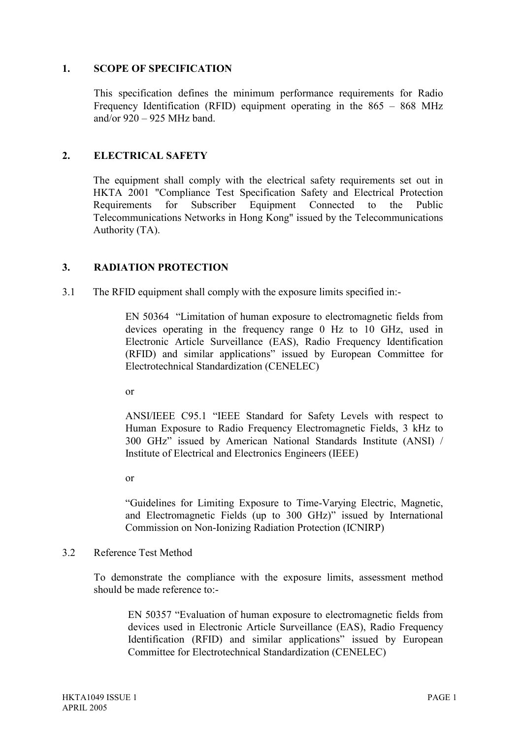#### 1. SCOPE OF SPECIFICATION

 This specification defines the minimum performance requirements for Radio Frequency Identification (RFID) equipment operating in the 865 – 868 MHz and/or 920 – 925 MHz band.

## 2. ELECTRICAL SAFETY

 The equipment shall comply with the electrical safety requirements set out in HKTA 2001 "Compliance Test Specification Safety and Electrical Protection Requirements for Subscriber Equipment Connected to the Public Telecommunications Networks in Hong Kong" issued by the Telecommunications Authority (TA).

## 3. RADIATION PROTECTION

3.1 The RFID equipment shall comply with the exposure limits specified in:-

EN 50364 "Limitation of human exposure to electromagnetic fields from devices operating in the frequency range 0 Hz to 10 GHz, used in Electronic Article Surveillance (EAS), Radio Frequency Identification (RFID) and similar applications" issued by European Committee for Electrotechnical Standardization (CENELEC)

or

ANSI/IEEE C95.1 "IEEE Standard for Safety Levels with respect to Human Exposure to Radio Frequency Electromagnetic Fields, 3 kHz to 300 GHz" issued by American National Standards Institute (ANSI) / Institute of Electrical and Electronics Engineers (IEEE)

or

"Guidelines for Limiting Exposure to Time-Varying Electric, Magnetic, and Electromagnetic Fields (up to 300 GHz)" issued by International Commission on Non-Ionizing Radiation Protection (ICNIRP)

#### 3.2 Reference Test Method

To demonstrate the compliance with the exposure limits, assessment method should be made reference to:-

EN 50357 "Evaluation of human exposure to electromagnetic fields from devices used in Electronic Article Surveillance (EAS), Radio Frequency Identification (RFID) and similar applications" issued by European Committee for Electrotechnical Standardization (CENELEC)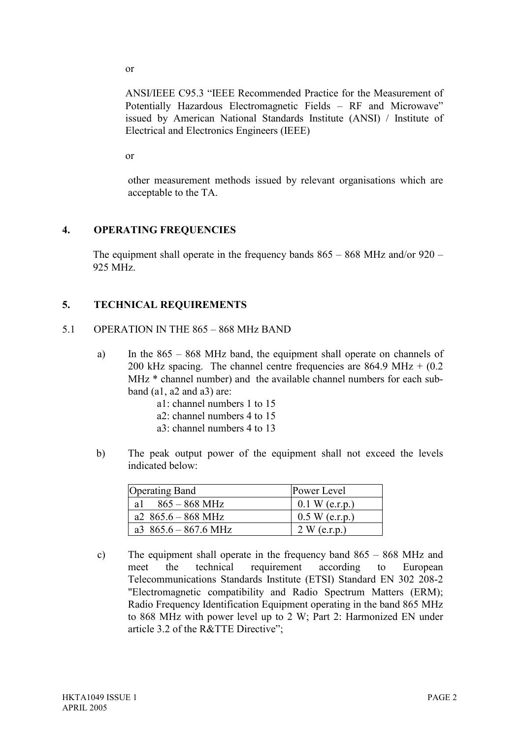or

ANSI/IEEE C95.3 "IEEE Recommended Practice for the Measurement of Potentially Hazardous Electromagnetic Fields – RF and Microwave" issued by American National Standards Institute (ANSI) / Institute of Electrical and Electronics Engineers (IEEE)

or

other measurement methods issued by relevant organisations which are acceptable to the TA.

## 4. OPERATING FREQUENCIES

The equipment shall operate in the frequency bands 865 – 868 MHz and/or 920 – 925 MHz.

## 5. TECHNICAL REQUIREMENTS

#### 5.1 OPERATION IN THE 865 – 868 MHz BAND

- a) In the 865 868 MHz band, the equipment shall operate on channels of 200 kHz spacing. The channel centre frequencies are  $864.9 \text{ MHz} + (0.2 \text{ m})$ MHz \* channel number) and the available channel numbers for each subband (a1, a2 and a3) are:
	- a1: channel numbers 1 to 15
	- a2: channel numbers 4 to 15
	- a3: channel numbers 4 to 13
- b) The peak output power of the equipment shall not exceed the levels indicated below:

| <b>Operating Band</b>          | Power Level      |
|--------------------------------|------------------|
| al $865 - 868$ MHz             | $0.1 W$ (e.r.p.) |
| a2 $865.6 - 868 \text{ MHz}$   | $0.5 W$ (e.r.p.) |
| a3 $865.6 - 867.6 \text{ MHz}$ | 2 W (e.r.p.)     |

c) The equipment shall operate in the frequency band 865 – 868 MHz and meet the technical requirement according to European Telecommunications Standards Institute (ETSI) Standard EN 302 208-2 "Electromagnetic compatibility and Radio Spectrum Matters (ERM); Radio Frequency Identification Equipment operating in the band 865 MHz to 868 MHz with power level up to 2 W; Part 2: Harmonized EN under article 3.2 of the R&TTE Directive";